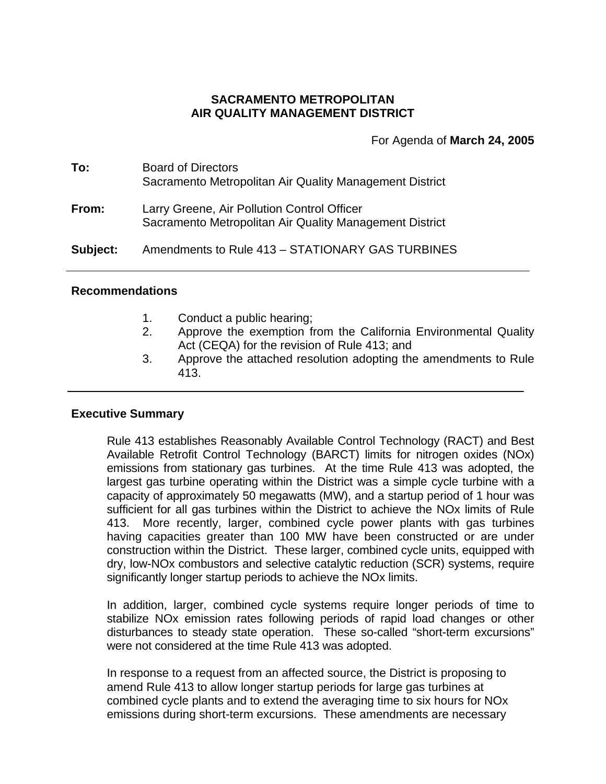## **SACRAMENTO METROPOLITAN AIR QUALITY MANAGEMENT DISTRICT**

For Agenda of **March 24, 2005**

| To:      | <b>Board of Directors</b><br>Sacramento Metropolitan Air Quality Management District                   |
|----------|--------------------------------------------------------------------------------------------------------|
| From:    | Larry Greene, Air Pollution Control Officer<br>Sacramento Metropolitan Air Quality Management District |
| Subject: | Amendments to Rule 413 - STATIONARY GAS TURBINES                                                       |

### **Recommendations**

- 1. Conduct a public hearing;
- 2. Approve the exemption from the California Environmental Quality Act (CEQA) for the revision of Rule 413; and
- 3. Approve the attached resolution adopting the amendments to Rule 413.

### **Executive Summary**

Rule 413 establishes Reasonably Available Control Technology (RACT) and Best Available Retrofit Control Technology (BARCT) limits for nitrogen oxides (NOx) emissions from stationary gas turbines. At the time Rule 413 was adopted, the largest gas turbine operating within the District was a simple cycle turbine with a capacity of approximately 50 megawatts (MW), and a startup period of 1 hour was sufficient for all gas turbines within the District to achieve the NOx limits of Rule 413. More recently, larger, combined cycle power plants with gas turbines having capacities greater than 100 MW have been constructed or are under construction within the District. These larger, combined cycle units, equipped with dry, low-NOx combustors and selective catalytic reduction (SCR) systems, require significantly longer startup periods to achieve the NOx limits.

In addition, larger, combined cycle systems require longer periods of time to stabilize NOx emission rates following periods of rapid load changes or other disturbances to steady state operation. These so-called "short-term excursions" were not considered at the time Rule 413 was adopted.

In response to a request from an affected source, the District is proposing to amend Rule 413 to allow longer startup periods for large gas turbines at combined cycle plants and to extend the averaging time to six hours for NOx emissions during short-term excursions. These amendments are necessary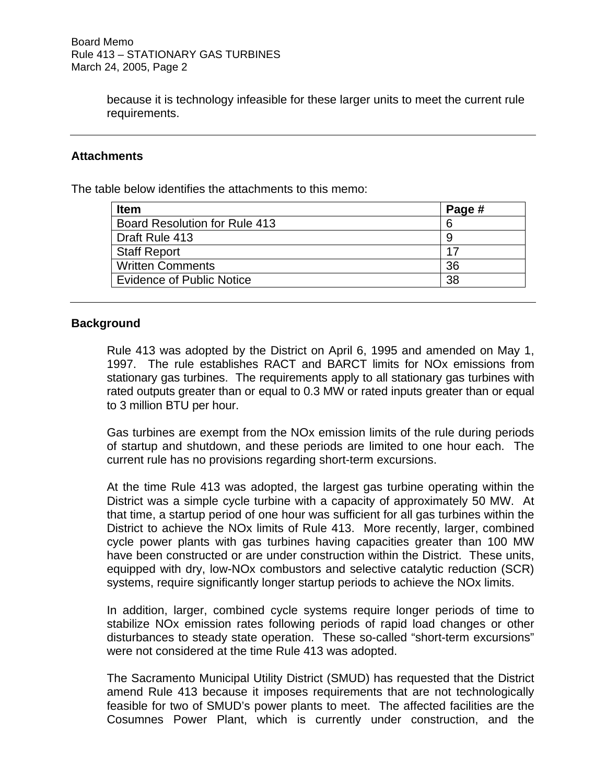because it is technology infeasible for these larger units to meet the current rule requirements.

## **Attachments**

The table below identifies the attachments to this memo:

| Page # |
|--------|
| 6      |
| 9      |
| 17     |
| 36     |
| 38     |
|        |

## **Background**

Rule 413 was adopted by the District on April 6, 1995 and amended on May 1, 1997. The rule establishes RACT and BARCT limits for NOx emissions from stationary gas turbines. The requirements apply to all stationary gas turbines with rated outputs greater than or equal to 0.3 MW or rated inputs greater than or equal to 3 million BTU per hour.

Gas turbines are exempt from the NOx emission limits of the rule during periods of startup and shutdown, and these periods are limited to one hour each. The current rule has no provisions regarding short-term excursions.

At the time Rule 413 was adopted, the largest gas turbine operating within the District was a simple cycle turbine with a capacity of approximately 50 MW. At that time, a startup period of one hour was sufficient for all gas turbines within the District to achieve the NOx limits of Rule 413. More recently, larger, combined cycle power plants with gas turbines having capacities greater than 100 MW have been constructed or are under construction within the District. These units, equipped with dry, low-NOx combustors and selective catalytic reduction (SCR) systems, require significantly longer startup periods to achieve the NOx limits.

In addition, larger, combined cycle systems require longer periods of time to stabilize NOx emission rates following periods of rapid load changes or other disturbances to steady state operation. These so-called "short-term excursions" were not considered at the time Rule 413 was adopted.

The Sacramento Municipal Utility District (SMUD) has requested that the District amend Rule 413 because it imposes requirements that are not technologically feasible for two of SMUD's power plants to meet. The affected facilities are the Cosumnes Power Plant, which is currently under construction, and the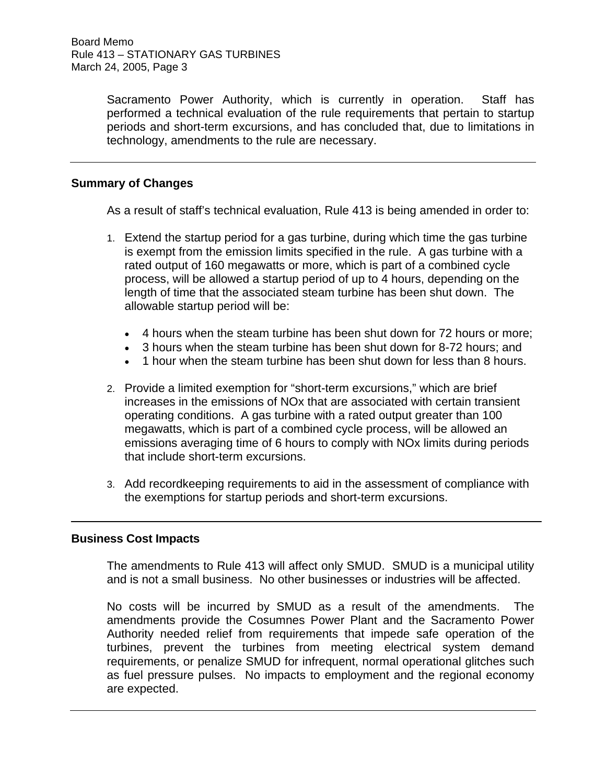Sacramento Power Authority, which is currently in operation. Staff has performed a technical evaluation of the rule requirements that pertain to startup periods and short-term excursions, and has concluded that, due to limitations in technology, amendments to the rule are necessary.

## **Summary of Changes**

As a result of staff's technical evaluation, Rule 413 is being amended in order to:

- 1. Extend the startup period for a gas turbine, during which time the gas turbine is exempt from the emission limits specified in the rule. A gas turbine with a rated output of 160 megawatts or more, which is part of a combined cycle process, will be allowed a startup period of up to 4 hours, depending on the length of time that the associated steam turbine has been shut down. The allowable startup period will be:
	- 4 hours when the steam turbine has been shut down for 72 hours or more;
	- 3 hours when the steam turbine has been shut down for 8-72 hours; and
	- 1 hour when the steam turbine has been shut down for less than 8 hours.
- 2. Provide a limited exemption for "short-term excursions," which are brief increases in the emissions of NOx that are associated with certain transient operating conditions. A gas turbine with a rated output greater than 100 megawatts, which is part of a combined cycle process, will be allowed an emissions averaging time of 6 hours to comply with NOx limits during periods that include short-term excursions.
- 3. Add recordkeeping requirements to aid in the assessment of compliance with the exemptions for startup periods and short-term excursions.

## **Business Cost Impacts**

The amendments to Rule 413 will affect only SMUD. SMUD is a municipal utility and is not a small business. No other businesses or industries will be affected.

No costs will be incurred by SMUD as a result of the amendments. The amendments provide the Cosumnes Power Plant and the Sacramento Power Authority needed relief from requirements that impede safe operation of the turbines, prevent the turbines from meeting electrical system demand requirements, or penalize SMUD for infrequent, normal operational glitches such as fuel pressure pulses. No impacts to employment and the regional economy are expected.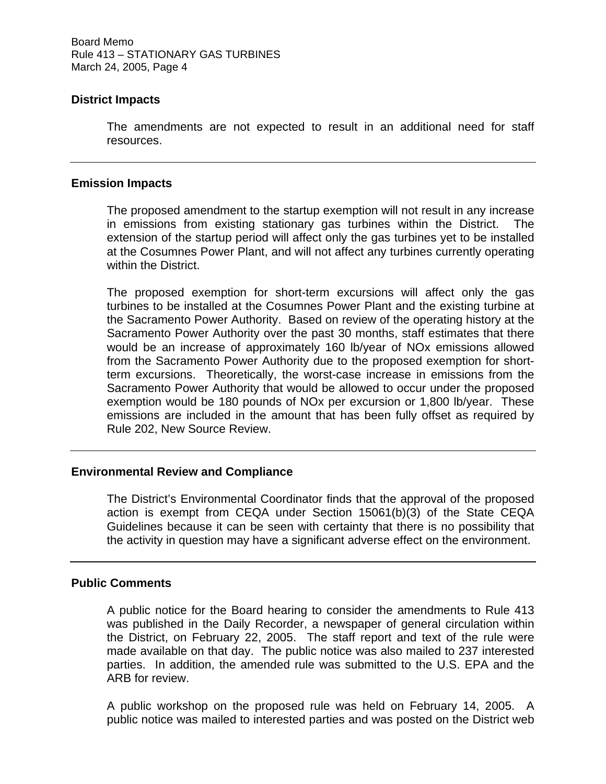# **District Impacts**

The amendments are not expected to result in an additional need for staff resources.

#### **Emission Impacts**

The proposed amendment to the startup exemption will not result in any increase in emissions from existing stationary gas turbines within the District. The extension of the startup period will affect only the gas turbines yet to be installed at the Cosumnes Power Plant, and will not affect any turbines currently operating within the District.

The proposed exemption for short-term excursions will affect only the gas turbines to be installed at the Cosumnes Power Plant and the existing turbine at the Sacramento Power Authority. Based on review of the operating history at the Sacramento Power Authority over the past 30 months, staff estimates that there would be an increase of approximately 160 lb/year of NOx emissions allowed from the Sacramento Power Authority due to the proposed exemption for shortterm excursions. Theoretically, the worst-case increase in emissions from the Sacramento Power Authority that would be allowed to occur under the proposed exemption would be 180 pounds of NOx per excursion or 1,800 lb/year. These emissions are included in the amount that has been fully offset as required by Rule 202, New Source Review.

### **Environmental Review and Compliance**

The District's Environmental Coordinator finds that the approval of the proposed action is exempt from CEQA under Section 15061(b)(3) of the State CEQA Guidelines because it can be seen with certainty that there is no possibility that the activity in question may have a significant adverse effect on the environment.

### **Public Comments**

A public notice for the Board hearing to consider the amendments to Rule 413 was published in the Daily Recorder, a newspaper of general circulation within the District, on February 22, 2005. The staff report and text of the rule were made available on that day. The public notice was also mailed to 237 interested parties. In addition, the amended rule was submitted to the U.S. EPA and the ARB for review.

A public workshop on the proposed rule was held on February 14, 2005. A public notice was mailed to interested parties and was posted on the District web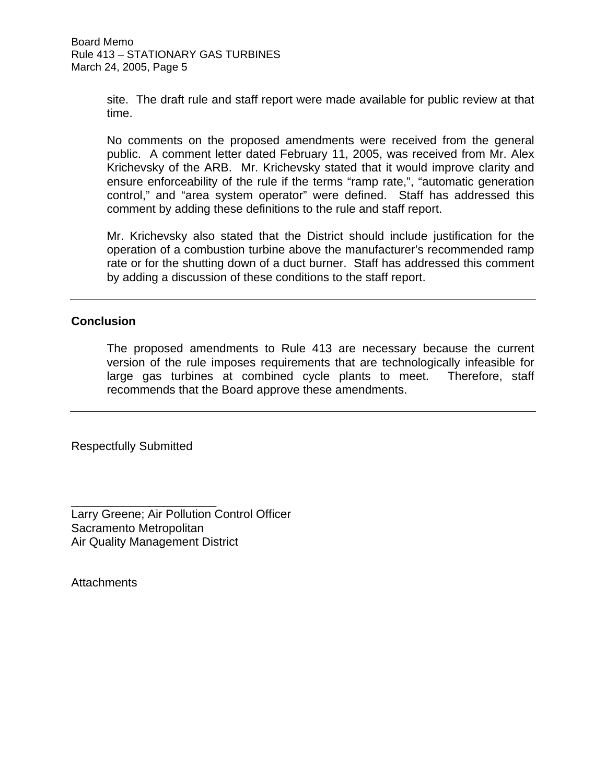site. The draft rule and staff report were made available for public review at that time.

No comments on the proposed amendments were received from the general public. A comment letter dated February 11, 2005, was received from Mr. Alex Krichevsky of the ARB. Mr. Krichevsky stated that it would improve clarity and ensure enforceability of the rule if the terms "ramp rate,", "automatic generation control," and "area system operator" were defined. Staff has addressed this comment by adding these definitions to the rule and staff report.

Mr. Krichevsky also stated that the District should include justification for the operation of a combustion turbine above the manufacturer's recommended ramp rate or for the shutting down of a duct burner. Staff has addressed this comment by adding a discussion of these conditions to the staff report.

## **Conclusion**

The proposed amendments to Rule 413 are necessary because the current version of the rule imposes requirements that are technologically infeasible for large gas turbines at combined cycle plants to meet. Therefore, staff recommends that the Board approve these amendments.

Respectfully Submitted

\_\_\_\_\_\_\_\_\_\_\_\_\_\_\_\_\_\_\_\_\_\_

Larry Greene; Air Pollution Control Officer Sacramento Metropolitan Air Quality Management District

**Attachments**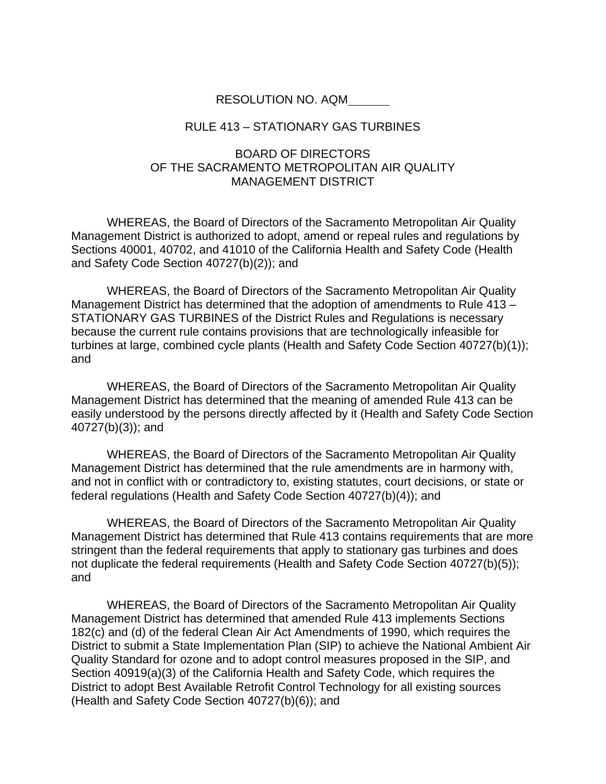#### RESOLUTION NO. AQM

#### RULE 413 – STATIONARY GAS TURBINES

# BOARD OF DIRECTORS OF THE SACRAMENTO METROPOLITAN AIR QUALITY MANAGEMENT DISTRICT

 WHEREAS, the Board of Directors of the Sacramento Metropolitan Air Quality Management District is authorized to adopt, amend or repeal rules and regulations by Sections 40001, 40702, and 41010 of the California Health and Safety Code (Health and Safety Code Section 40727(b)(2)); and

 WHEREAS, the Board of Directors of the Sacramento Metropolitan Air Quality Management District has determined that the adoption of amendments to Rule 413 – STATIONARY GAS TURBINES of the District Rules and Regulations is necessary because the current rule contains provisions that are technologically infeasible for turbines at large, combined cycle plants (Health and Safety Code Section 40727(b)(1)); and

 WHEREAS, the Board of Directors of the Sacramento Metropolitan Air Quality Management District has determined that the meaning of amended Rule 413 can be easily understood by the persons directly affected by it (Health and Safety Code Section 40727(b)(3)); and

 WHEREAS, the Board of Directors of the Sacramento Metropolitan Air Quality Management District has determined that the rule amendments are in harmony with, and not in conflict with or contradictory to, existing statutes, court decisions, or state or federal regulations (Health and Safety Code Section 40727(b)(4)); and

 WHEREAS, the Board of Directors of the Sacramento Metropolitan Air Quality Management District has determined that Rule 413 contains requirements that are more stringent than the federal requirements that apply to stationary gas turbines and does not duplicate the federal requirements (Health and Safety Code Section 40727(b)(5)); and

WHEREAS, the Board of Directors of the Sacramento Metropolitan Air Quality Management District has determined that amended Rule 413 implements Sections 182(c) and (d) of the federal Clean Air Act Amendments of 1990, which requires the District to submit a State Implementation Plan (SIP) to achieve the National Ambient Air Quality Standard for ozone and to adopt control measures proposed in the SIP, and Section 40919(a)(3) of the California Health and Safety Code, which requires the District to adopt Best Available Retrofit Control Technology for all existing sources (Health and Safety Code Section 40727(b)(6)); and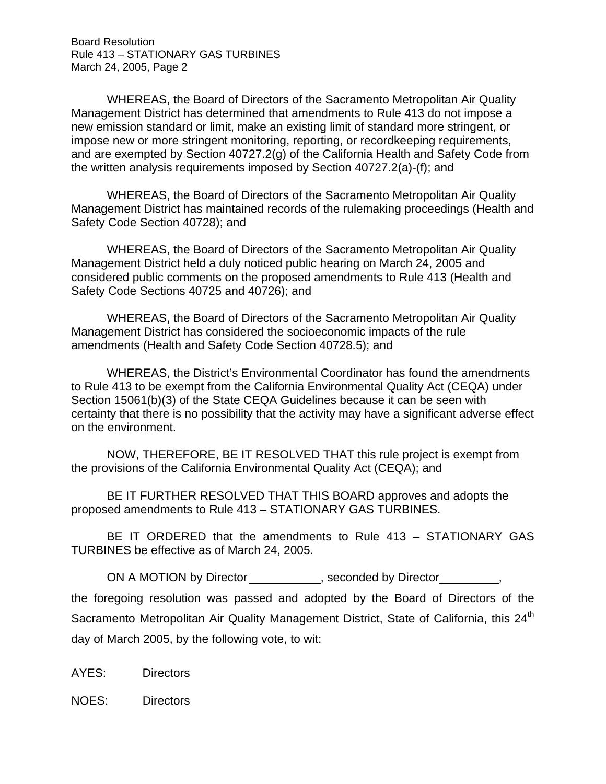Board Resolution Rule 413 – STATIONARY GAS TURBINES March 24, 2005, Page 2

WHEREAS, the Board of Directors of the Sacramento Metropolitan Air Quality Management District has determined that amendments to Rule 413 do not impose a new emission standard or limit, make an existing limit of standard more stringent, or impose new or more stringent monitoring, reporting, or recordkeeping requirements, and are exempted by Section 40727.2(g) of the California Health and Safety Code from the written analysis requirements imposed by Section 40727.2(a)-(f); and

WHEREAS, the Board of Directors of the Sacramento Metropolitan Air Quality Management District has maintained records of the rulemaking proceedings (Health and Safety Code Section 40728); and

WHEREAS, the Board of Directors of the Sacramento Metropolitan Air Quality Management District held a duly noticed public hearing on March 24, 2005 and considered public comments on the proposed amendments to Rule 413 (Health and Safety Code Sections 40725 and 40726); and

WHEREAS, the Board of Directors of the Sacramento Metropolitan Air Quality Management District has considered the socioeconomic impacts of the rule amendments (Health and Safety Code Section 40728.5); and

 WHEREAS, the District's Environmental Coordinator has found the amendments to Rule 413 to be exempt from the California Environmental Quality Act (CEQA) under Section 15061(b)(3) of the State CEQA Guidelines because it can be seen with certainty that there is no possibility that the activity may have a significant adverse effect on the environment.

 NOW, THEREFORE, BE IT RESOLVED THAT this rule project is exempt from the provisions of the California Environmental Quality Act (CEQA); and

BE IT FURTHER RESOLVED THAT THIS BOARD approves and adopts the proposed amendments to Rule 413 – STATIONARY GAS TURBINES.

BE IT ORDERED that the amendments to Rule 413 – STATIONARY GAS TURBINES be effective as of March 24, 2005.

ON A MOTION by Director example the seconded by Director the foregoing resolution was passed and adopted by the Board of Directors of the Sacramento Metropolitan Air Quality Management District, State of California, this 24<sup>th</sup> day of March 2005, by the following vote, to wit:

AYES: Directors

NOES: Directors